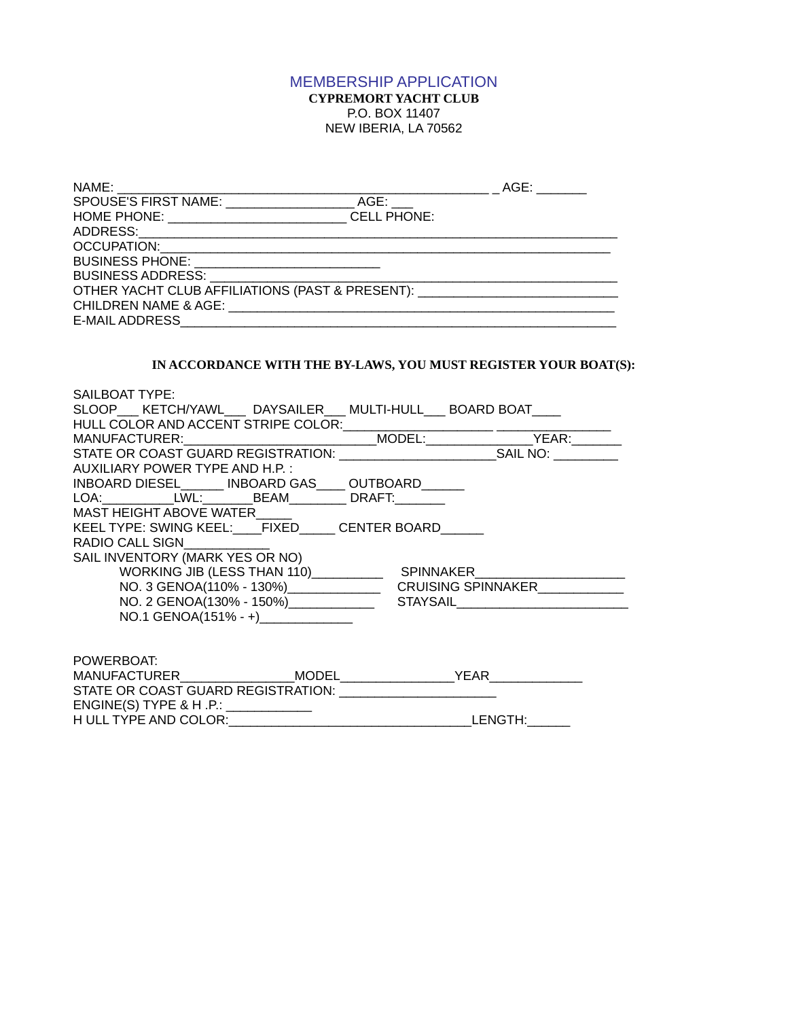## MEMBERSHIP APPLICATION **CYPREMORT YACHT CLUB** P.O. BOX 11407 NEW IBERIA, LA 70562

| NAME:                                           |                    | AGE: |  |
|-------------------------------------------------|--------------------|------|--|
| SPOUSE'S FIRST NAME:                            | AGE:               |      |  |
| <b>HOME PHONE:</b>                              | <b>CELL PHONE:</b> |      |  |
| ADDRESS:                                        |                    |      |  |
| <b>OCCUPATION:</b>                              |                    |      |  |
| <b>BUSINESS PHONE:</b>                          |                    |      |  |
| <b>BUSINESS ADDRESS:</b>                        |                    |      |  |
| OTHER YACHT CLUB AFFILIATIONS (PAST & PRESENT): |                    |      |  |
| <b>CHILDREN NAME &amp; AGE:</b>                 |                    |      |  |
| E-MAIL ADDRESS                                  |                    |      |  |

## **IN ACCORDANCE WITH THE BY-LAWS, YOU MUST REGISTER YOUR BOAT(S):**

| SAILBOAT TYPE:                                       |  |                              |
|------------------------------------------------------|--|------------------------------|
| SLOOP KETCH/YAWL DAYSAILER MULTI-HULL BOARD BOAT     |  |                              |
| HULL COLOR AND ACCENT STRIPE COLOR:                  |  |                              |
| MANUFACTURER: WARD AND THE MANUFACTURER:             |  | MODEL: YEAR:                 |
| STATE OR COAST GUARD REGISTRATION: SAIL NO: SAIL NO: |  |                              |
| AUXILIARY POWER TYPE AND H.P.:                       |  |                              |
| INBOARD DIESEL INBOARD GAS OUTBOARD                  |  |                              |
| LOA: LWL: BEAM DRAFT:                                |  |                              |
| MAST HEIGHT ABOVE WATER                              |  |                              |
| KEEL TYPE: SWING KEEL: FIXED CENTER BOARD            |  |                              |
| RADIO CALL SIGN                                      |  |                              |
| SAIL INVENTORY (MARK YES OR NO)                      |  |                              |
| WORKING JIB (LESS THAN 110) SPINNAKER                |  |                              |
|                                                      |  |                              |
| NO. 2 GENOA(130% - 150%) _____________               |  | <b>STAYSAIL Example 2018</b> |
| NO.1 GENOA(151% - +)                                 |  |                              |
|                                                      |  |                              |
| POWERBOAT:                                           |  |                              |
|                                                      |  |                              |
| STATE OR COAST GUARD REGISTRATION: CONTRATION        |  |                              |
| ENGINE(S) TYPE & H.P.: __________                    |  |                              |
| H ULL TYPE AND COLOR:____________                    |  | LENGTH:                      |
|                                                      |  |                              |